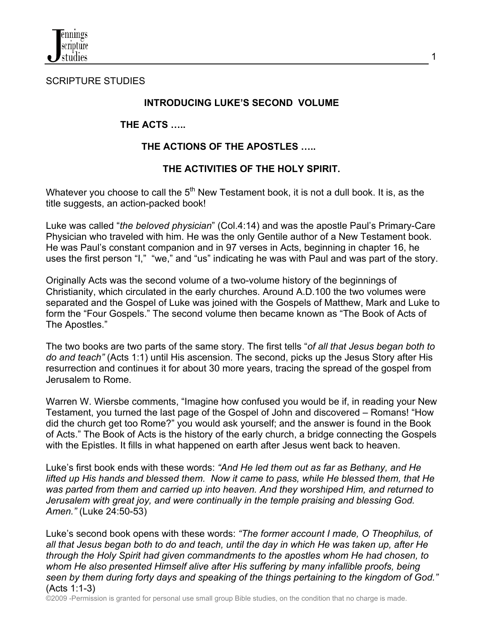

SCRIPTURE STUDIES

## **INTRODUCING LUKE'S SECOND VOLUME**

## **THE ACTS …..**

## **THE ACTIONS OF THE APOSTLES …..**

## **THE ACTIVITIES OF THE HOLY SPIRIT.**

Whatever you choose to call the  $5<sup>th</sup>$  New Testament book, it is not a dull book. It is, as the title suggests, an action-packed book!

Luke was called "*the beloved physician*" (Col.4:14) and was the apostle Paul's Primary-Care Physician who traveled with him. He was the only Gentile author of a New Testament book. He was Paul's constant companion and in 97 verses in Acts, beginning in chapter 16, he uses the first person "I," "we," and "us" indicating he was with Paul and was part of the story.

Originally Acts was the second volume of a two-volume history of the beginnings of Christianity, which circulated in the early churches. Around A.D.100 the two volumes were separated and the Gospel of Luke was joined with the Gospels of Matthew, Mark and Luke to form the "Four Gospels." The second volume then became known as "The Book of Acts of The Apostles."

The two books are two parts of the same story. The first tells "*of all that Jesus began both to do and teach"* (Acts 1:1) until His ascension. The second, picks up the Jesus Story after His resurrection and continues it for about 30 more years, tracing the spread of the gospel from Jerusalem to Rome.

Warren W. Wiersbe comments, "Imagine how confused you would be if, in reading your New Testament, you turned the last page of the Gospel of John and discovered – Romans! "How did the church get too Rome?" you would ask yourself; and the answer is found in the Book of Acts." The Book of Acts is the history of the early church, a bridge connecting the Gospels with the Epistles. It fills in what happened on earth after Jesus went back to heaven.

Luke's first book ends with these words: *"And He led them out as far as Bethany, and He lifted up His hands and blessed them. Now it came to pass, while He blessed them, that He was parted from them and carried up into heaven. And they worshiped Him, and returned to Jerusalem with great joy, and were continually in the temple praising and blessing God. Amen."* (Luke 24:50-53)

Luke's second book opens with these words: *"The former account I made, O Theophilus, of all that Jesus began both to do and teach, until the day in which He was taken up, after He through the Holy Spirit had given commandments to the apostles whom He had chosen, to whom He also presented Himself alive after His suffering by many infallible proofs, being seen by them during forty days and speaking of the things pertaining to the kingdom of God."* (Acts 1:1-3)

©2009 -Permission is granted for personal use small group Bible studies, on the condition that no charge is made.